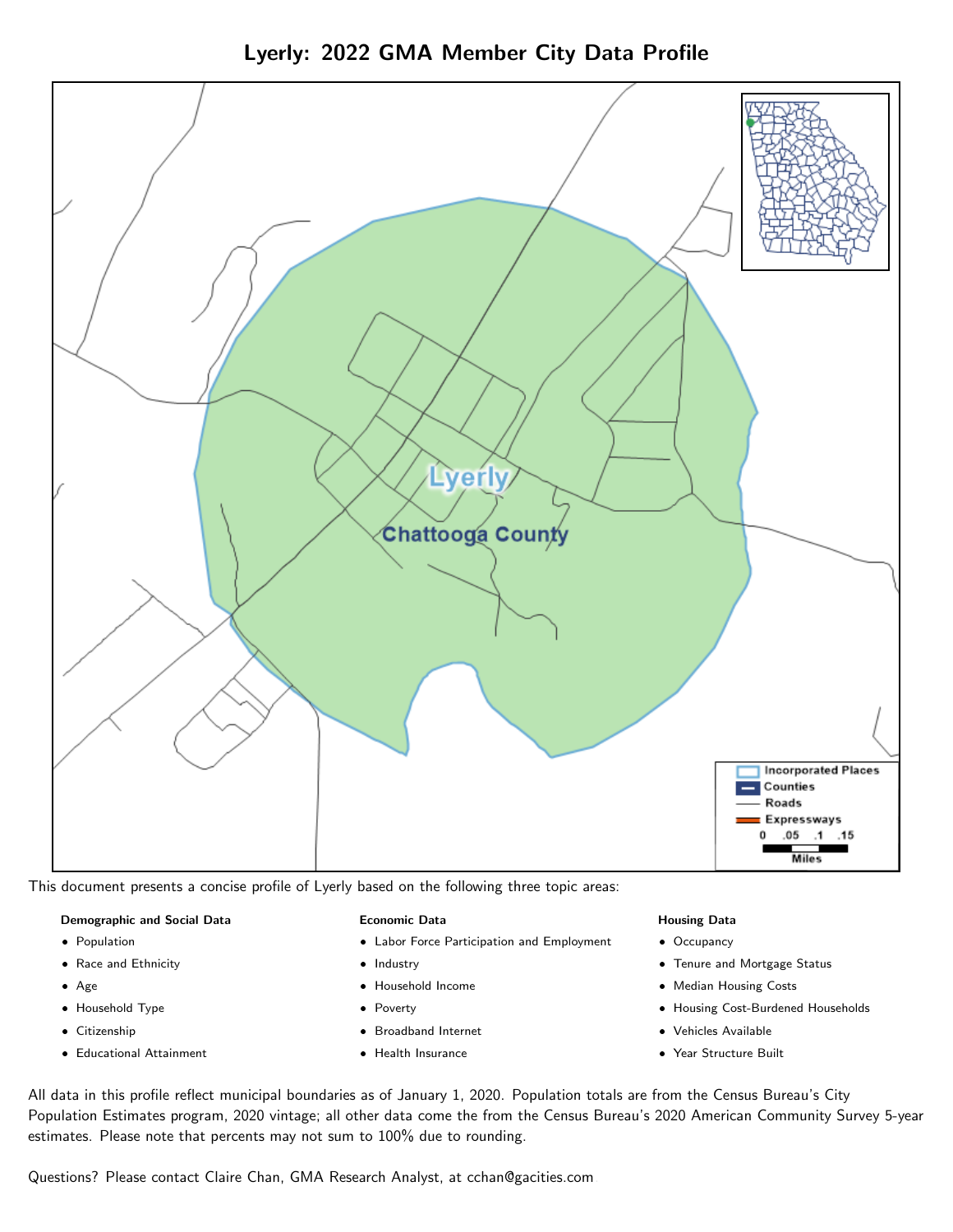Lyerly: 2022 GMA Member City Data Profile



This document presents a concise profile of Lyerly based on the following three topic areas:

### Demographic and Social Data

- **•** Population
- Race and Ethnicity
- Age
- Household Type
- **Citizenship**
- Educational Attainment

### Economic Data

- Labor Force Participation and Employment
- Industry
- Household Income
- Poverty
- Broadband Internet
- Health Insurance

### Housing Data

- Occupancy
- Tenure and Mortgage Status
- Median Housing Costs
- Housing Cost-Burdened Households
- Vehicles Available
- Year Structure Built

All data in this profile reflect municipal boundaries as of January 1, 2020. Population totals are from the Census Bureau's City Population Estimates program, 2020 vintage; all other data come the from the Census Bureau's 2020 American Community Survey 5-year estimates. Please note that percents may not sum to 100% due to rounding.

Questions? Please contact Claire Chan, GMA Research Analyst, at [cchan@gacities.com.](mailto:cchan@gacities.com)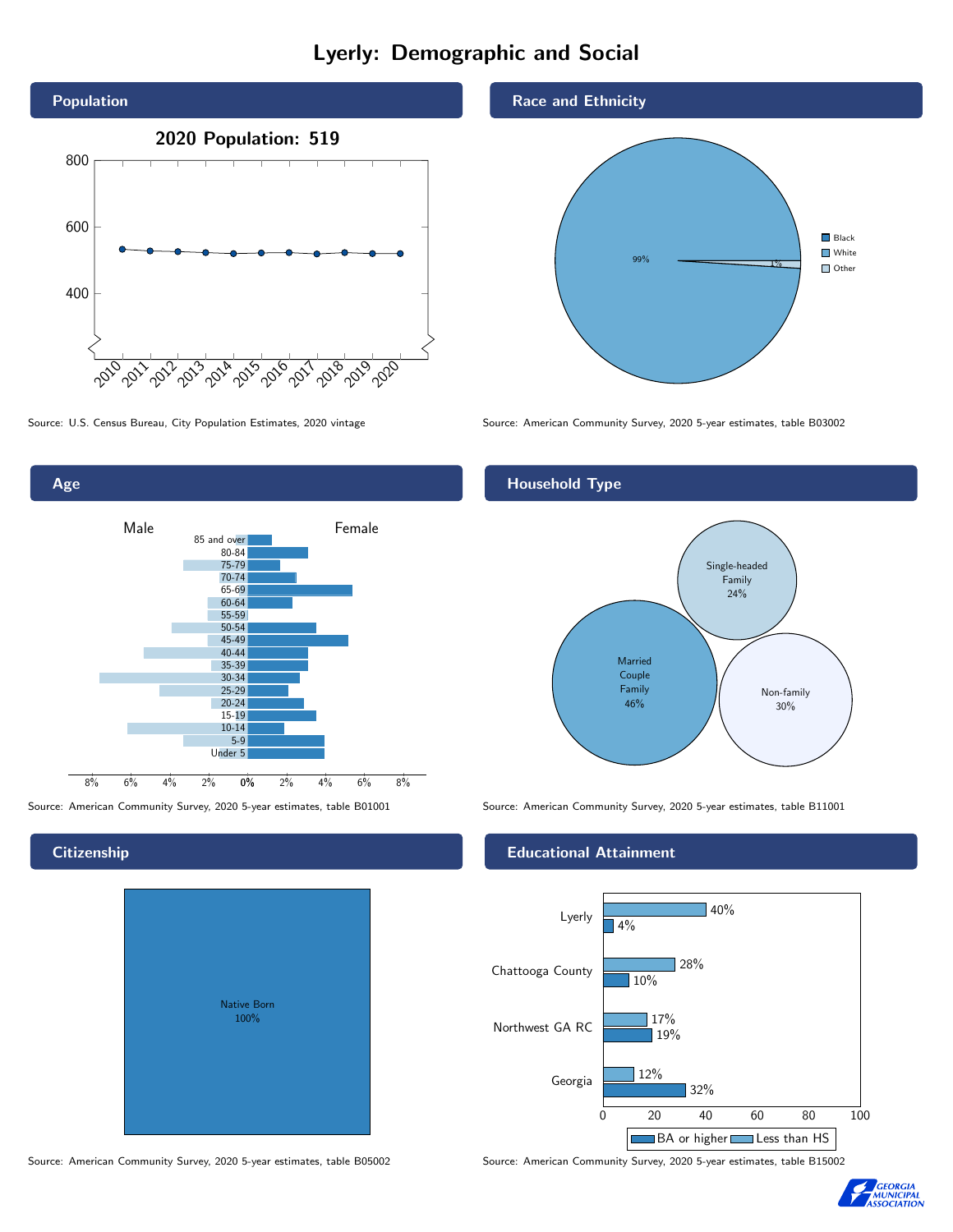# Lyerly: Demographic and Social



0% 2% 4% 6% 8% Male **Female** 8% 6% 4% 2% 85 and over 80-84 75-79 70-74 65-69 60-64 55-59 50-54 45-49 40-44 35-39 30-34 25-29 20-24 15-19  $10-14$ 5-9 Under 5

# Native Born 100%

### Race and Ethnicity



Source: U.S. Census Bureau, City Population Estimates, 2020 vintage Source: American Community Survey, 2020 5-year estimates, table B03002

### Household Type



Source: American Community Survey, 2020 5-year estimates, table B01001 Source: American Community Survey, 2020 5-year estimates, table B11001

### Educational Attainment



Source: American Community Survey, 2020 5-year estimates, table B05002 Source: American Community Survey, 2020 5-year estimates, table B15002



### **Citizenship**

Age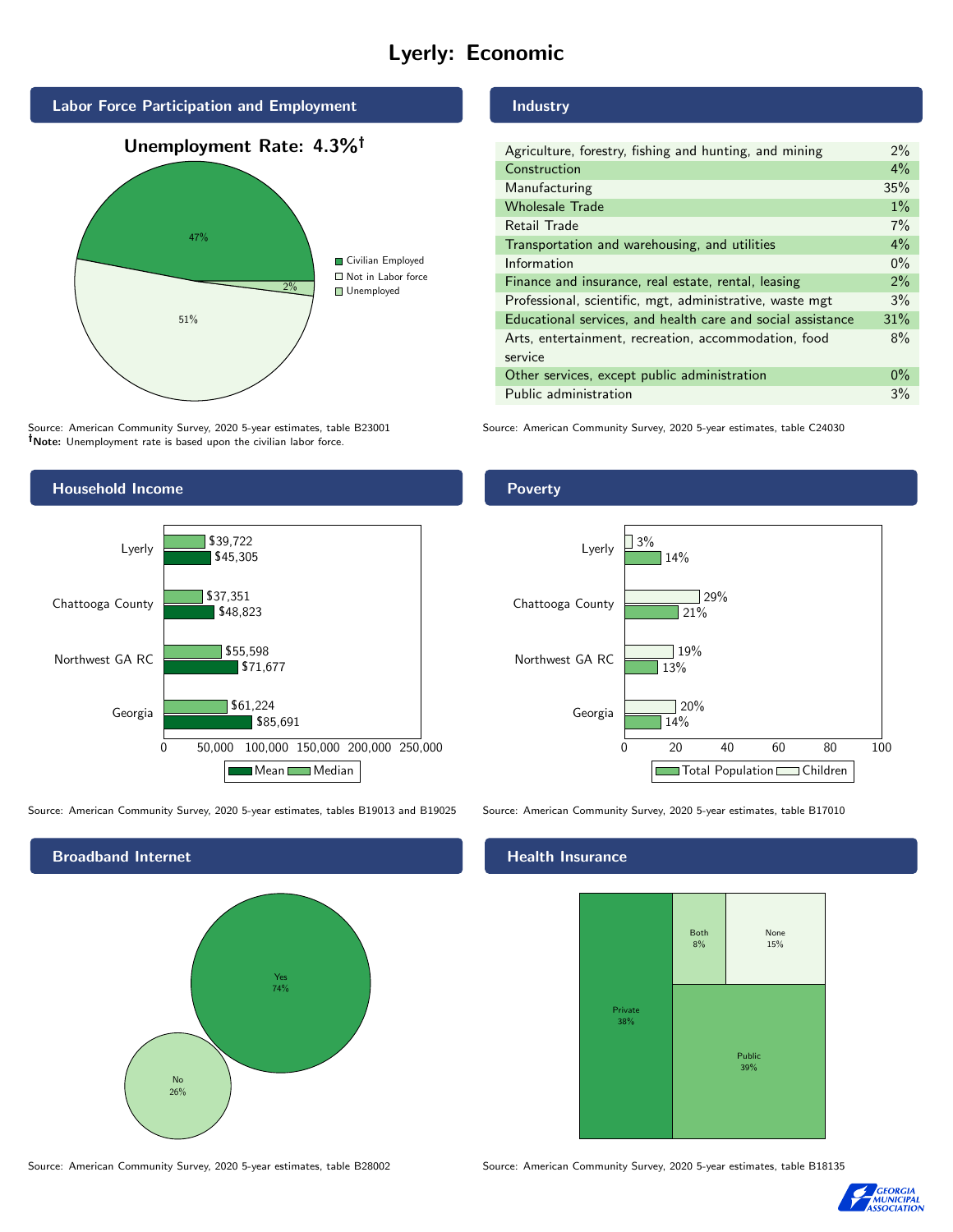# Lyerly: Economic



Source: American Community Survey, 2020 5-year estimates, table B23001 Note: Unemployment rate is based upon the civilian labor force.



Source: American Community Survey, 2020 5-year estimates, tables B19013 and B19025 Source: American Community Survey, 2020 5-year estimates, table B17010



### Source: American Community Survey, 2020 5-year estimates, table B28002 Source: American Community Survey, 2020 5-year estimates, table B18135

### Industry

| Agriculture, forestry, fishing and hunting, and mining      | 2%    |
|-------------------------------------------------------------|-------|
| Construction                                                | 4%    |
| Manufacturing                                               | 35%   |
| <b>Wholesale Trade</b>                                      | $1\%$ |
| Retail Trade                                                | 7%    |
| Transportation and warehousing, and utilities               | $4\%$ |
| Information                                                 | $0\%$ |
| Finance and insurance, real estate, rental, leasing         | 2%    |
| Professional, scientific, mgt, administrative, waste mgt    | 3%    |
| Educational services, and health care and social assistance | 31%   |
| Arts, entertainment, recreation, accommodation, food        | 8%    |
| service                                                     |       |
| Other services, except public administration                | $0\%$ |
| Public administration                                       | 3%    |

Source: American Community Survey, 2020 5-year estimates, table C24030

### Poverty



### Health Insurance